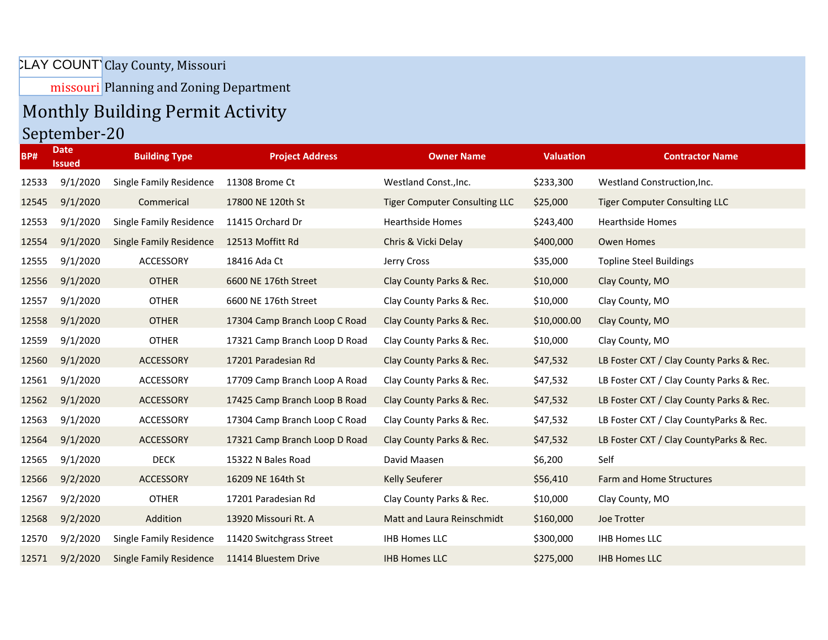## LAY COUNT Clay County, Missouri

missouri Planning and Zoning Department

## Monthly Building Permit Activity September-20

| <b>BP#</b> | <b>Date</b><br><b>Issued</b> | <b>Building Type</b>           | <b>Project Address</b>        | <b>Owner Name</b>                    | <b>Valuation</b> | <b>Contractor Name</b>                   |
|------------|------------------------------|--------------------------------|-------------------------------|--------------------------------------|------------------|------------------------------------------|
| 12533      | 9/1/2020                     | Single Family Residence        | 11308 Brome Ct                | Westland Const., Inc.                | \$233,300        | Westland Construction, Inc.              |
| 12545      | 9/1/2020                     | Commerical                     | 17800 NE 120th St             | <b>Tiger Computer Consulting LLC</b> | \$25,000         | <b>Tiger Computer Consulting LLC</b>     |
| 12553      | 9/1/2020                     | Single Family Residence        | 11415 Orchard Dr              | <b>Hearthside Homes</b>              | \$243,400        | <b>Hearthside Homes</b>                  |
| 12554      | 9/1/2020                     | <b>Single Family Residence</b> | 12513 Moffitt Rd              | Chris & Vicki Delay                  | \$400,000        | Owen Homes                               |
| 12555      | 9/1/2020                     | ACCESSORY                      | 18416 Ada Ct                  | Jerry Cross                          | \$35,000         | <b>Topline Steel Buildings</b>           |
| 12556      | 9/1/2020                     | <b>OTHER</b>                   | 6600 NE 176th Street          | Clay County Parks & Rec.             | \$10,000         | Clay County, MO                          |
| 12557      | 9/1/2020                     | <b>OTHER</b>                   | 6600 NE 176th Street          | Clay County Parks & Rec.             | \$10,000         | Clay County, MO                          |
| 12558      | 9/1/2020                     | <b>OTHER</b>                   | 17304 Camp Branch Loop C Road | Clay County Parks & Rec.             | \$10,000.00      | Clay County, MO                          |
| 12559      | 9/1/2020                     | <b>OTHER</b>                   | 17321 Camp Branch Loop D Road | Clay County Parks & Rec.             | \$10,000         | Clay County, MO                          |
| 12560      | 9/1/2020                     | ACCESSORY                      | 17201 Paradesian Rd           | Clay County Parks & Rec.             | \$47,532         | LB Foster CXT / Clay County Parks & Rec. |
| 12561      | 9/1/2020                     | ACCESSORY                      | 17709 Camp Branch Loop A Road | Clay County Parks & Rec.             | \$47,532         | LB Foster CXT / Clay County Parks & Rec. |
| 12562      | 9/1/2020                     | ACCESSORY                      | 17425 Camp Branch Loop B Road | Clay County Parks & Rec.             | \$47,532         | LB Foster CXT / Clay County Parks & Rec. |
| 12563      | 9/1/2020                     | ACCESSORY                      | 17304 Camp Branch Loop C Road | Clay County Parks & Rec.             | \$47,532         | LB Foster CXT / Clay CountyParks & Rec.  |
| 12564      | 9/1/2020                     | ACCESSORY                      | 17321 Camp Branch Loop D Road | Clay County Parks & Rec.             | \$47,532         | LB Foster CXT / Clay CountyParks & Rec.  |
| 12565      | 9/1/2020                     | <b>DECK</b>                    | 15322 N Bales Road            | David Maasen                         | \$6,200          | Self                                     |
| 12566      | 9/2/2020                     | ACCESSORY                      | 16209 NE 164th St             | <b>Kelly Seuferer</b>                | \$56,410         | Farm and Home Structures                 |
| 12567      | 9/2/2020                     | <b>OTHER</b>                   | 17201 Paradesian Rd           | Clay County Parks & Rec.             | \$10,000         | Clay County, MO                          |
| 12568      | 9/2/2020                     | Addition                       | 13920 Missouri Rt. A          | Matt and Laura Reinschmidt           | \$160,000        | Joe Trotter                              |
| 12570      | 9/2/2020                     | Single Family Residence        | 11420 Switchgrass Street      | <b>IHB Homes LLC</b>                 | \$300,000        | <b>IHB Homes LLC</b>                     |
| 12571      | 9/2/2020                     | <b>Single Family Residence</b> | 11414 Bluestem Drive          | <b>IHB Homes LLC</b>                 | \$275,000        | <b>IHB Homes LLC</b>                     |
|            |                              |                                |                               |                                      |                  |                                          |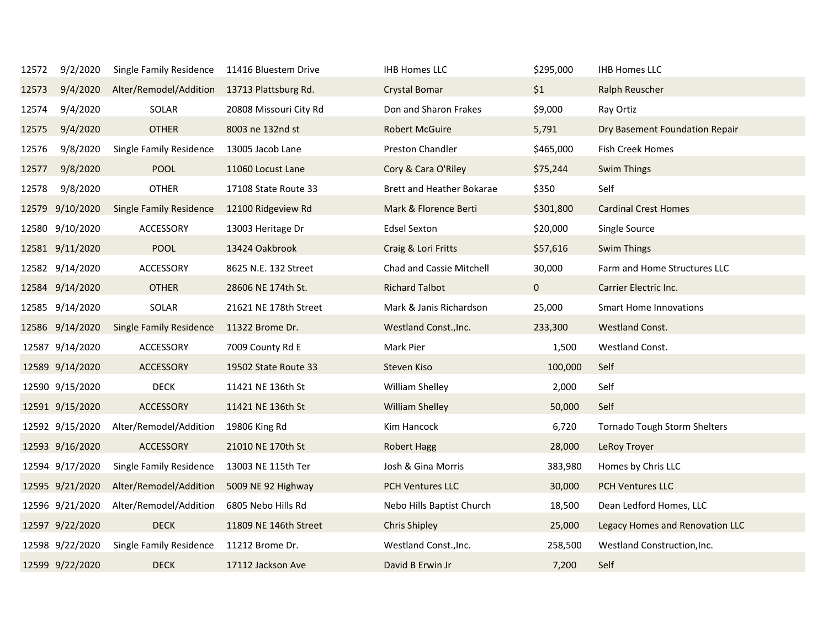| 12572 | 9/2/2020        | <b>Single Family Residence</b>              | 11416 Bluestem Drive   | <b>IHB Homes LLC</b>      | \$295,000   | <b>IHB Homes LLC</b>            |
|-------|-----------------|---------------------------------------------|------------------------|---------------------------|-------------|---------------------------------|
| 12573 | 9/4/2020        | Alter/Remodel/Addition 13713 Plattsburg Rd. |                        | <b>Crystal Bomar</b>      | \$1         | Ralph Reuscher                  |
| 12574 | 9/4/2020        | SOLAR                                       | 20808 Missouri City Rd | Don and Sharon Frakes     | \$9,000     | Ray Ortiz                       |
| 12575 | 9/4/2020        | <b>OTHER</b>                                | 8003 ne 132nd st       | <b>Robert McGuire</b>     | 5,791       | Dry Basement Foundation Repair  |
| 12576 | 9/8/2020        | Single Family Residence                     | 13005 Jacob Lane       | Preston Chandler          | \$465,000   | Fish Creek Homes                |
| 12577 | 9/8/2020        | <b>POOL</b>                                 | 11060 Locust Lane      | Cory & Cara O'Riley       | \$75,244    | <b>Swim Things</b>              |
| 12578 | 9/8/2020        | <b>OTHER</b>                                | 17108 State Route 33   | Brett and Heather Bokarae | \$350       | Self                            |
|       | 12579 9/10/2020 | <b>Single Family Residence</b>              | 12100 Ridgeview Rd     | Mark & Florence Berti     | \$301,800   | <b>Cardinal Crest Homes</b>     |
|       | 12580 9/10/2020 | ACCESSORY                                   | 13003 Heritage Dr      | <b>Edsel Sexton</b>       | \$20,000    | Single Source                   |
|       | 12581 9/11/2020 | <b>POOL</b>                                 | 13424 Oakbrook         | Craig & Lori Fritts       | \$57,616    | Swim Things                     |
|       | 12582 9/14/2020 | ACCESSORY                                   | 8625 N.E. 132 Street   | Chad and Cassie Mitchell  | 30,000      | Farm and Home Structures LLC    |
|       | 12584 9/14/2020 | <b>OTHER</b>                                | 28606 NE 174th St.     | <b>Richard Talbot</b>     | $\mathbf 0$ | Carrier Electric Inc.           |
|       | 12585 9/14/2020 | SOLAR                                       | 21621 NE 178th Street  | Mark & Janis Richardson   | 25,000      | <b>Smart Home Innovations</b>   |
|       | 12586 9/14/2020 | <b>Single Family Residence</b>              | 11322 Brome Dr.        | Westland Const., Inc.     | 233,300     | Westland Const.                 |
|       | 12587 9/14/2020 | ACCESSORY                                   | 7009 County Rd E       | Mark Pier                 | 1,500       | Westland Const.                 |
|       | 12589 9/14/2020 | ACCESSORY                                   | 19502 State Route 33   | Steven Kiso               | 100,000     | Self                            |
|       | 12590 9/15/2020 | <b>DECK</b>                                 | 11421 NE 136th St      | William Shelley           | 2,000       | Self                            |
|       | 12591 9/15/2020 | <b>ACCESSORY</b>                            | 11421 NE 136th St      | <b>William Shelley</b>    | 50,000      | Self                            |
|       | 12592 9/15/2020 | Alter/Remodel/Addition                      | 19806 King Rd          | Kim Hancock               | 6,720       | Tornado Tough Storm Shelters    |
|       | 12593 9/16/2020 | ACCESSORY                                   | 21010 NE 170th St      | <b>Robert Hagg</b>        | 28,000      | LeRoy Troyer                    |
|       | 12594 9/17/2020 | Single Family Residence                     | 13003 NE 115th Ter     | Josh & Gina Morris        | 383,980     | Homes by Chris LLC              |
|       | 12595 9/21/2020 | Alter/Remodel/Addition                      | 5009 NE 92 Highway     | <b>PCH Ventures LLC</b>   | 30,000      | <b>PCH Ventures LLC</b>         |
|       | 12596 9/21/2020 | Alter/Remodel/Addition                      | 6805 Nebo Hills Rd     | Nebo Hills Baptist Church | 18,500      | Dean Ledford Homes, LLC         |
|       | 12597 9/22/2020 | <b>DECK</b>                                 | 11809 NE 146th Street  | <b>Chris Shipley</b>      | 25,000      | Legacy Homes and Renovation LLC |
|       | 12598 9/22/2020 | Single Family Residence                     | 11212 Brome Dr.        | Westland Const., Inc.     | 258,500     | Westland Construction, Inc.     |
|       | 12599 9/22/2020 | <b>DECK</b>                                 | 17112 Jackson Ave      | David B Erwin Jr          | 7,200       | Self                            |